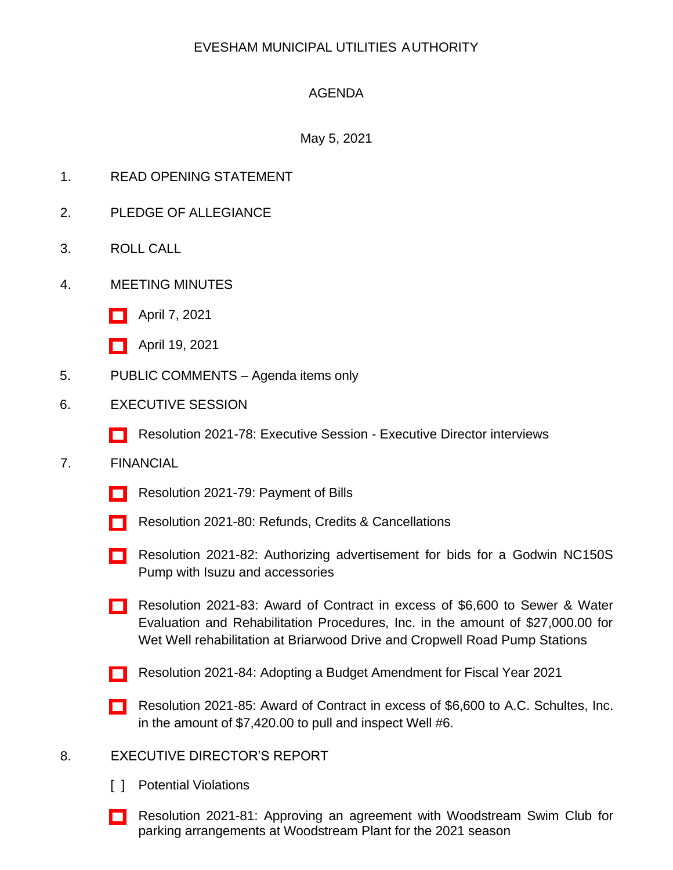# EVESHAM MUNICIPAL UTILITIES AUTHORITY

# AGENDA

## May 5, 2021

- 1. READ OPENING STATEMENT
- 2. PLEDGE OF ALLEGIANCE
- 3. ROLL CALL
- 4. MEETING MINUTES
	- [\[ \]](http://www.eveshammua.com/wp-content/uploads/2021/04/minutes-4-7-2021.pdf) April 7, 2021
	- [\[ \]](http://www.eveshammua.com/wp-content/uploads/2021/04/minutes-4-19-2021.pdf) April 19, 2021
- 5. PUBLIC COMMENTS Agenda items only
- 6. EXECUTIVE SESSION
	- [\[ \]](http://www.eveshammua.com/wp-content/uploads/2021/04/Resolution-2021-78-Executive-Session-.pdf) Resolution 2021-78: Executive Session Executive Director interviews

### 7. FINANCIAL

- [\[ \]](http://www.eveshammua.com/wp-content/uploads/2021/04/Resolution-2021-79-Bill-List.pdf) Resolution 2021-79: Payment of Bills
- [\[ \]](http://www.eveshammua.com/wp-content/uploads/2021/04/Resolution-2021-80-REFUNDS-.pdf) Resolution 2021-80: Refunds, Credits & Cancellations
- [\[ \]](http://www.eveshammua.com/wp-content/uploads/2021/04/Resolution-2021-82-Authorize-advertisement-Godwin-Pump.pdf) Resolution 2021-82: Authorizing advertisement for bids for a Godwin NC150S Pump with Isuzu and accessories
- [\[ \]](http://www.eveshammua.com/wp-content/uploads/2021/04/Resolution-2021-83-Sewer-Water-Evaluations.pdf) Resolution 2021-83: Award of Contract in excess of \$6,600 to Sewer & Water Evaluation and Rehabilitation Procedures, Inc. in the amount of \$27,000.00 for Wet Well rehabilitation at Briarwood Drive and Cropwell Road Pump Stations
- [\[ \]](http://www.eveshammua.com/wp-content/uploads/2021/04/Resolution-2021-84-EMUA-Proposed-Budget-Amendment.pdf) Resolution 2021-84: Adopting a Budget Amendment for Fiscal Year 2021
- [\[ \]](http://www.eveshammua.com/wp-content/uploads/2021/04/Resolution-2021-85-A.C.-Schultes.pdf) Resolution 2021-85: Award of Contract in excess of \$6,600 to A.C. Schultes, Inc. in the amount of \$7,420.00 to pull and inspect Well #6.

### 8. EXECUTIVE DIRECTOR'S REPORT

- [ ] Potential Violations
- [\[ \]](http://www.eveshammua.com/wp-content/uploads/2021/04/Resolution-2021-81-Approve-Woodstream-parking-agreement.pdf) Resolution 2021-81: Approving an agreement with Woodstream Swim Club for parking arrangements at Woodstream Plant for the 2021 season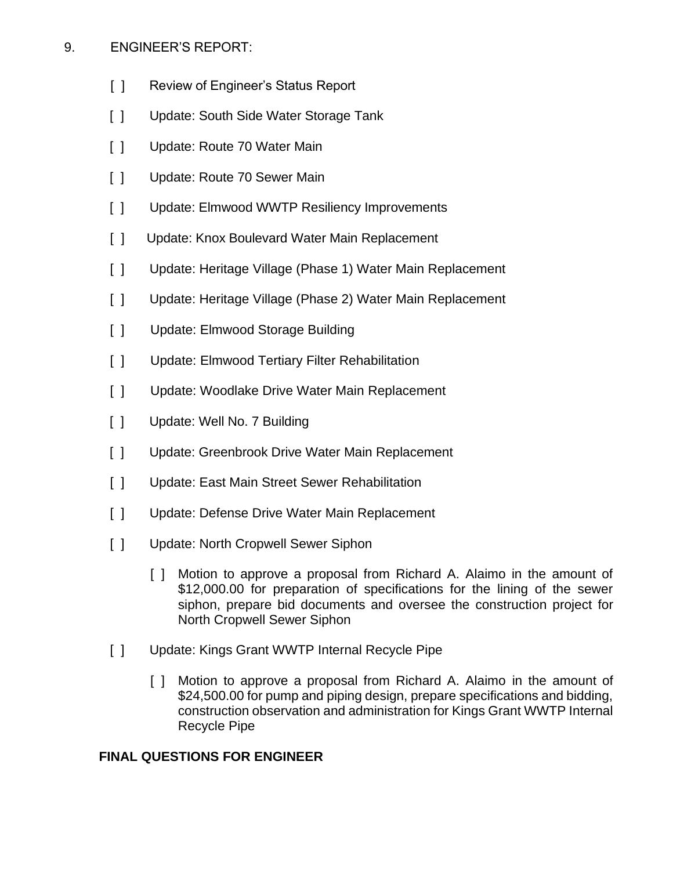## 9. ENGINEER'S REPORT:

- [ ] Review of Engineer's Status Report
- [ ] Update: South Side Water Storage Tank
- [ ] Update: Route 70 Water Main
- [ ] Update: Route 70 Sewer Main
- [ ] Update: Elmwood WWTP Resiliency Improvements
- [ ] Update: Knox Boulevard Water Main Replacement
- [ ] Update: Heritage Village (Phase 1) Water Main Replacement
- [ ] Update: Heritage Village (Phase 2) Water Main Replacement
- [ ] Update: Elmwood Storage Building
- [ ] Update: Elmwood Tertiary Filter Rehabilitation
- [ ] Update: Woodlake Drive Water Main Replacement
- [ ] Update: Well No. 7 Building
- [ ] Update: Greenbrook Drive Water Main Replacement
- [ ] Update: East Main Street Sewer Rehabilitation
- [ ] Update: Defense Drive Water Main Replacement
- [ ] Update: North Cropwell Sewer Siphon
	- [ ] Motion to approve a proposal from Richard A. Alaimo in the amount of \$12,000.00 for preparation of specifications for the lining of the sewer siphon, prepare bid documents and oversee the construction project for North Cropwell Sewer Siphon
- [ ] Update: Kings Grant WWTP Internal Recycle Pipe
	- [ ] Motion to approve a proposal from Richard A. Alaimo in the amount of \$24,500.00 for pump and piping design, prepare specifications and bidding, construction observation and administration for Kings Grant WWTP Internal Recycle Pipe

### **FINAL QUESTIONS FOR ENGINEER**